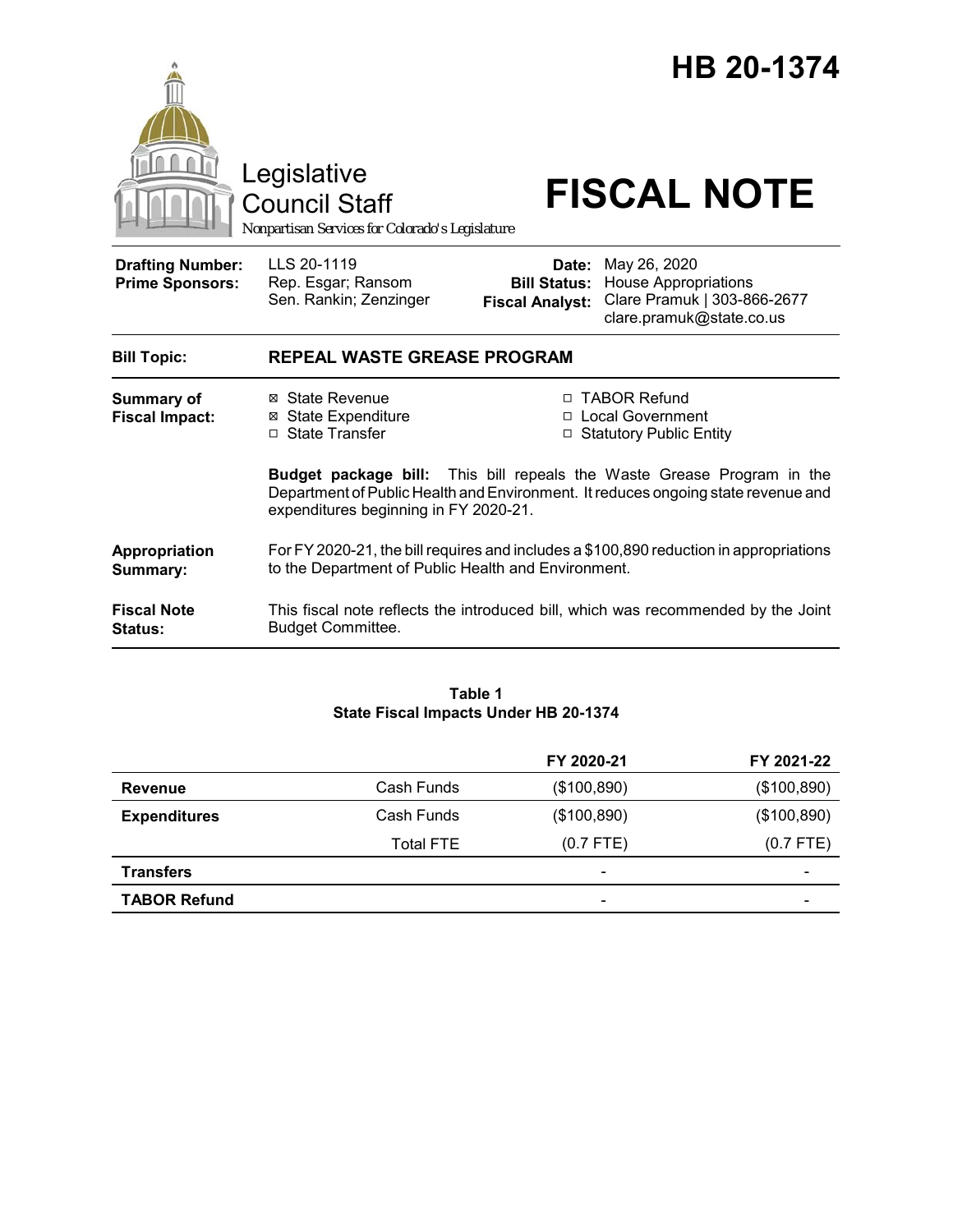

**Fiscal Note Status:** This fiscal note reflects the introduced bill, which was recommended by the Joint Budget Committee.

#### **Table 1 State Fiscal Impacts Under HB 20-1374**

|                     |                  | FY 2020-21               | FY 2021-22               |
|---------------------|------------------|--------------------------|--------------------------|
| Revenue             | Cash Funds       | (\$100,890)              | (\$100,890)              |
| <b>Expenditures</b> | Cash Funds       | (\$100,890)              | (\$100,890)              |
|                     | <b>Total FTE</b> | $(0.7$ FTE)              | $(0.7$ FTE)              |
| <b>Transfers</b>    |                  | $\overline{\phantom{a}}$ | $\overline{\phantom{0}}$ |
| <b>TABOR Refund</b> |                  | $\overline{\phantom{a}}$ | -                        |